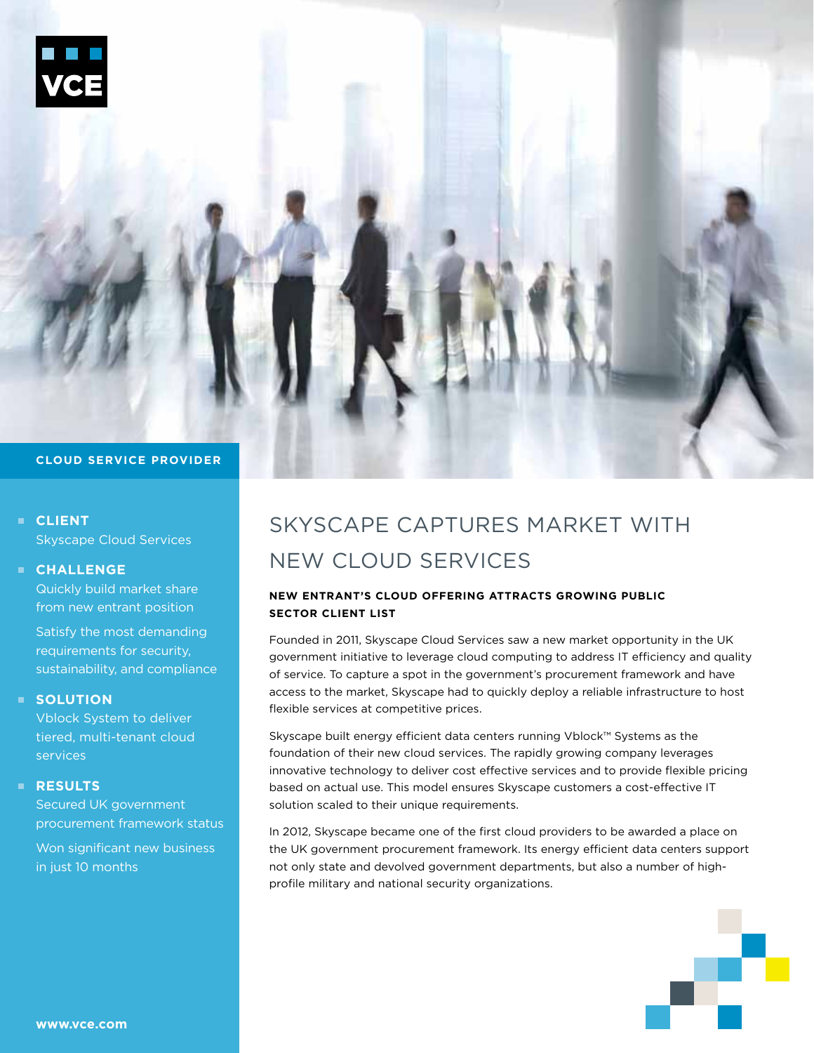

# **Client**

Skyscape Cloud Services

## **Challenge**

Quickly build market share from new entrant position

Satisfy the most demanding requirements for security, sustainability, and compliance

### **Solution**

Vblock System to deliver tiered, multi-tenant cloud services

### **Results**

Secured UK government procurement framework status

Won significant new business in just 10 months

# SKYSCAPE CAPTURES MARKET WITH NEW CLOUD SERVICES

# **NEW ENTRANT'S CLOUD OFFERING ATTRACTS GROWING PUBLIC SECTOR CLIENT LIST**

Founded in 2011, Skyscape Cloud Services saw a new market opportunity in the UK government initiative to leverage cloud computing to address IT efficiency and quality of service. To capture a spot in the government's procurement framework and have access to the market, Skyscape had to quickly deploy a reliable infrastructure to host flexible services at competitive prices.

Skyscape built energy efficient data centers running Vblock™ Systems as the foundation of their new cloud services. The rapidly growing company leverages innovative technology to deliver cost effective services and to provide flexible pricing based on actual use. This model ensures Skyscape customers a cost-effective IT solution scaled to their unique requirements.

In 2012, Skyscape became one of the first cloud providers to be awarded a place on the UK government procurement framework. Its energy efficient data centers support not only state and devolved government departments, but also a number of highprofile military and national security organizations.



**www.vce.com**